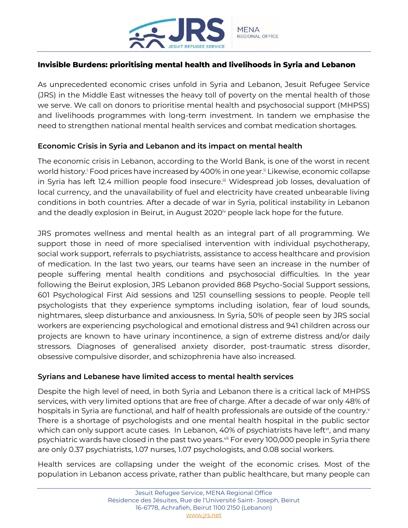

# **Invisible Burdens: prioritising mental health and livelihoods in Syria and Lebanon**

As unprecedented economic crises unfold in Syria and Lebanon, Jesuit Refugee Service (JRS) in the Middle East witnesses the heavy toll of poverty on the mental health of those we serve. We call on donors to prioritise mental health and psychosocial support (MHPSS) and livelihoods programmes with long-term investment. In tandem we emphasise the need to strengthen national mental health services and combat medication shortages.

# **Economic Crisis in Syria and Lebanon and its impact on mental health**

The economic crisis in Lebanon, according to the World Bank, is one of the worst in recent world history.<sup>i.</sup> Food prices have increased by 400% in one year.<sup>i</sup>' Likewise, economic collapse in Syria has left 12.4 million people food insecure.<sup>ii</sup> Widespread job losses, devaluation of local currency, and the unavailability of fuel and electricity have created unbearable living conditions in both countries. After a decade of war in Syria, political instability in Lebanon and the deadly explosion in Beirut, in August  $2020<sup>i</sup>$  people lack hope for the future.

JRS promotes wellness and mental health as an integral part of all programming. We support those in need of more specialised intervention with individual psychotherapy, social work support, referrals to psychiatrists, assistance to access healthcare and provision of medication. In the last two years, our teams have seen an increase in the number of people suffering mental health conditions and psychosocial difficulties. In the year following the Beirut explosion, JRS Lebanon provided 868 Psycho-Social Support sessions, 601 Psychological First Aid sessions and 1251 counselling sessions to people. People tell psychologists that they experience symptoms including isolation, fear of loud sounds, nightmares, sleep disturbance and anxiousness. In Syria, 50% of people seen by JRS social workers are experiencing psychological and emotional distress and 941 children across our projects are known to have urinary incontinence, a sign of extreme distress and/or daily stressors. Diagnoses of generalised anxiety disorder, post-traumatic stress disorder, obsessive compulsive disorder, and schizophrenia have also increased.

# **Syrians and Lebanese have limited access to mental health services**

Despite the high level of need, in both Syria and Lebanon there is a critical lack of MHPSS services, with very limited options that are free of charge. After a decade of war only 48% of hospitals in Syria are functional, and half of health professionals are outside of the country. v There is a shortage of psychologists and one mental health hospital in the public sector which can only support acute cases. In Lebanon, 40% of psychiatrists have left $\mathbf{v}$ , and many psychiatric wards have closed in the past two years.<sup>vii</sup> For every 100,000 people in Syria there are only 0.37 psychiatrists, 1.07 nurses, 1.07 psychologists, and 0.08 social workers.

Health services are collapsing under the weight of the economic crises. Most of the population in Lebanon access private, rather than public healthcare, but many people can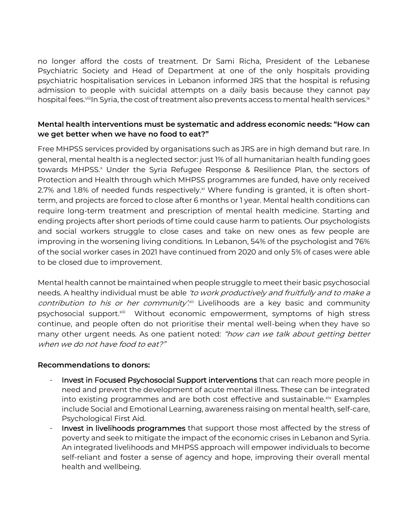no longer afford the costs of treatment. Dr Sami Richa, President of the Lebanese Psychiatric Society and Head of Department at one of the only hospitals providing psychiatric hospitalisation services in Lebanon informed JRS that the hospital is refusing admission to people with suicidal attempts on a daily basis because they cannot pay hospital fees.<sup>viii</sup>In Syria, the cost of treatment also prevents access to mental health services.<sup>ix</sup>

# **Mental health interventions must be systematic and address economic needs: "How can we get better when we have no food to eat?"**

Free MHPSS services provided by organisations such as JRS are in high demand but rare. In general, mental health is a neglected sector: just 1% of all humanitarian health funding goes towards MHPSS.<sup>x</sup> Under the Syria Refugee Response & Resilience Plan, the sectors of Protection and Health through which MHPSS programmes are funded, have only received 2.7% and 1.8% of needed funds respectively. $x<sup>i</sup>$  Where funding is granted, it is often shortterm, and projects are forced to close after 6 months or 1 year. Mental health conditions can require long-term treatment and prescription of mental health medicine. Starting and ending projects after short periods of time could cause harm to patients. Our psychologists and social workers struggle to close cases and take on new ones as few people are improving in the worsening living conditions. In Lebanon, 54% of the psychologist and 76% of the social worker cases in 2021 have continued from 2020 and only 5% of cases were able to be closed due to improvement.

Mental health cannot be maintained when people struggle to meet their basic psychosocial needs. A healthy individual must be able 'to work productively and fruitfully and to make a contribution to his or her community.<sup>xii</sup> Livelihoods are a key basic and community psychosocial support. Xiii Without economic empowerment, symptoms of high stress continue, and people often do not prioritise their mental well-being when they have so many other urgent needs. As one patient noted: "how can we talk about getting better when we do not have food to eat?"

# **Recommendations to donors:**

- Invest in Focused Psychosocial Support interventions that can reach more people in need and prevent the development of acute mental illness. These can be integrated into existing programmes and are both cost effective and sustainable.<sup>xiv</sup> Examples include Social and Emotional Learning, awareness raising on mental health, self-care, Psychological First Aid.
- Invest in livelihoods programmes that support those most affected by the stress of poverty and seek to mitigate the impact of the economic crises in Lebanon and Syria. An integrated livelihoods and MHPSS approach will empower individuals to become self-reliant and foster a sense of agency and hope, improving their overall mental health and wellbeing.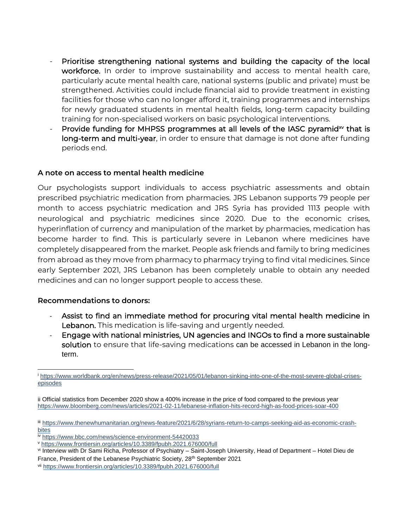- Prioritise strengthening national systems and building the capacity of the local workforce. In order to improve sustainability and access to mental health care, particularly acute mental health care, national systems (public and private) must be strengthened. Activities could include financial aid to provide treatment in existing facilities for those who can no longer afford it, training programmes and internships for newly graduated students in mental health fields, long-term capacity building training for non-specialised workers on basic psychological interventions.
- Provide funding for MHPSS programmes at all levels of the IASC pyramid $w$  that is long-term and multi-year, in order to ensure that damage is not done after funding periods end.

# **A note on access to mental health medicine**

Our psychologists support individuals to access psychiatric assessments and obtain prescribed psychiatric medication from pharmacies. JRS Lebanon supports 79 people per month to access psychiatric medication and JRS Syria has provided 1113 people with neurological and psychiatric medicines since 2020. Due to the economic crises, hyperinflation of currency and manipulation of the market by pharmacies, medication has become harder to find. This is particularly severe in Lebanon where medicines have completely disappeared from the market. People ask friends and family to bring medicines from abroad as they move from pharmacy to pharmacy trying to find vital medicines. Since early September 2021, JRS Lebanon has been completely unable to obtain any needed medicines and can no longer support people to access these.

# **Recommendations to donors:**

- Assist to find an immediate method for procuring vital mental health medicine in Lebanon. This medication is life-saving and urgently needed.
- Engage with national ministries, UN agencies and INGOs to find a more sustainable solution to ensure that life-saving medications can be accessed in Lebanon in the longterm.

<sup>i</sup> [https://www.worldbank.org/en/news/press-release/2021/05/01/lebanon-sinking-into-one-of-the-most-severe-global-crises](https://www.worldbank.org/en/news/press-release/2021/05/01/lebanon-sinking-into-one-of-the-most-severe-global-crises-episodes)[episodes](https://www.worldbank.org/en/news/press-release/2021/05/01/lebanon-sinking-into-one-of-the-most-severe-global-crises-episodes)

ii Official statistics from December 2020 show a 400% increase in the price of food compared to the previous year <https://www.bloomberg.com/news/articles/2021-02-11/lebanese-inflation-hits-record-high-as-food-prices-soar-400>

iii [https://www.thenewhumanitarian.org/news-feature/2021/6/28/syrians-return-to-camps-seeking-aid-as-economic-crash](https://www.thenewhumanitarian.org/news-feature/2021/6/28/syrians-return-to-camps-seeking-aid-as-economic-crash-bites)[bites](https://www.thenewhumanitarian.org/news-feature/2021/6/28/syrians-return-to-camps-seeking-aid-as-economic-crash-bites)

iv <https://www.bbc.com/news/science-environment-54420033>

<sup>v</sup> <https://www.frontiersin.org/articles/10.3389/fpubh.2021.676000/full>

vi Interview with Dr Sami Richa, Professor of Psychiatry – Saint-Joseph University, Head of Department – Hotel Dieu de France, President of the Lebanese Psychiatric Society, 28<sup>th</sup> September 2021

vii <https://www.frontiersin.org/articles/10.3389/fpubh.2021.676000/full>